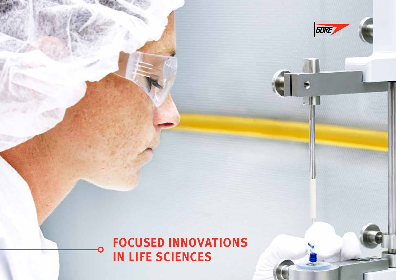

GORE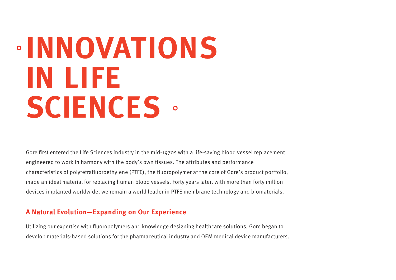# **INNOVATIONS IN LIFE SCIENCES**

Gore first entered the Life Sciences industry in the mid-1970s with a life-saving blood vessel replacement engineered to work in harmony with the body's own tissues. The attributes and performance characteristics of polytetrafluoroethylene (PTFE), the fluoropolymer at the core of Gore's product portfolio, made an ideal material for replacing human blood vessels. Forty years later, with more than forty million devices implanted worldwide, we remain a world leader in PTFE membrane technology and biomaterials.

### **A Natural Evolution—Expanding on Our Experience**

Utilizing our expertise with fluoropolymers and knowledge designing healthcare solutions, Gore began to develop materials-based solutions for the pharmaceutical industry and OEM medical device manufacturers.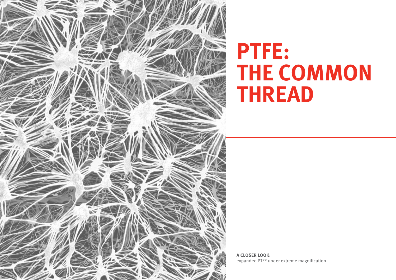

## **PTFE: THE COMMON THREAD**

**A CLOSER LOOK:**  expanded PTFE under extreme magnification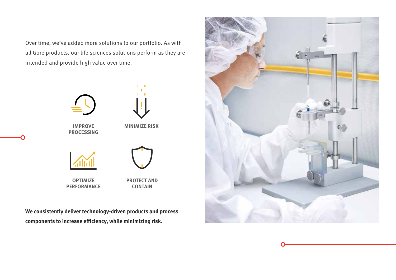Over time, we've added more solutions to our portfolio. As with all Gore products, our life sciences solutions perform as they are intended and provide high value over time.



**We consistently deliver technology-driven products and process components to increase efficiency, while minimizing risk.** 



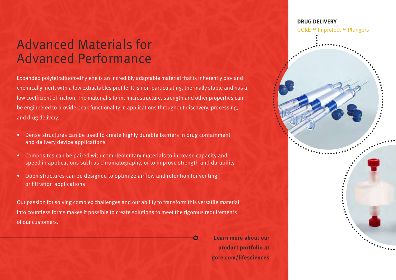### Advanced Materials for Advanced Performance

Expanded polytetrafluoroethylene is an incredibly adaptable material that is inherently bio- and chemically inert, with a low extractables profile. It is non-particulating, thermally stable and has a low coefficient of friction. The material's form, microstructure, strength and other properties can be engineered to provide peak functionality in applications throughout discovery, processing, and drug delivery.

- Dense structures can be used to create highly durable barriers in drug containment and delivery device applications
- Composites can be paired with complementary materials to increase capacity and speed in applications such as chromatography, or to improve strength and durability
- Open structures can be designed to optimize airflow and retention for venting or filtration applications

Our passion for solving complex challenges and our ability to transform this versatile material into countless forms makes it possible to create solutions to meet the rigorous requirements of our customers.

> **Learn more about our product portfolio at gore.com/lifesciences**

### **DRUG DELIVERY** GORE™ ImproJect™ Plungers

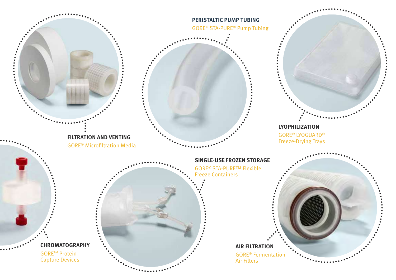

**CHROMATOGRAPHY** GORETM Protein Capture Devices

**AIR FILTRATION** GORE® Fermentation Air Filters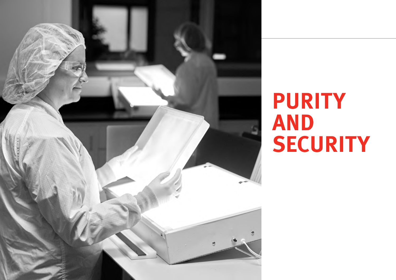

## **PURITY AND SECURITY**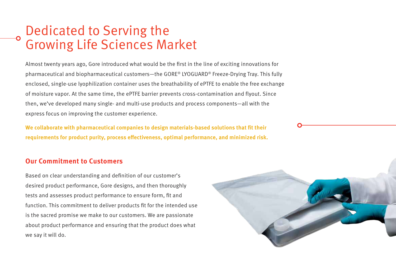### Dedicated to Serving the Growing Life Sciences Market

Almost twenty years ago, Gore introduced what would be the first in the line of exciting innovations for pharmaceutical and biopharmaceutical customers—the GORE® LYOGUARD® Freeze-Drying Tray. This fully enclosed, single-use lyophilization container uses the breathability of ePTFE to enable the free exchange of moisture vapor. At the same time, the ePTFE barrier prevents cross-contamination and flyout. Since then, we've developed many single- and multi-use products and process components—all with the express focus on improving the customer experience.

**We collaborate with pharmaceutical companies to design materials-based solutions that fit their requirements for product purity, process effectiveness, optimal performance, and minimized risk.**

### **Our Commitment to Customers**

Based on clear understanding and definition of our customer's desired product performance, Gore designs, and then thoroughly tests and assesses product performance to ensure form, fit and function. This commitment to deliver products fit for the intended use is the sacred promise we make to our customers. We are passionate about product performance and ensuring that the product does what we say it will do.

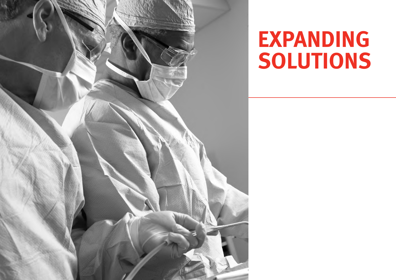

## **EXPANDING SOLUTIONS**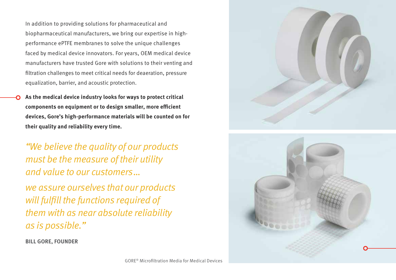In addition to providing solutions for pharmaceutical and biopharmaceutical manufacturers, we bring our expertise in highperformance ePTFE membranes to solve the unique challenges faced by medical device innovators. For years, OEM medical device manufacturers have trusted Gore with solutions to their venting and filtration challenges to meet critical needs for deaeration, pressure equalization, barrier, and acoustic protection.

**As the medical device industry looks for ways to protect critical components on equipment or to design smaller, more efficient devices, Gore's high-performance materials will be counted on for their quality and reliability every time.**

"We believe the quality of our products must be the measure of their utility and value to our customers … we assure ourselves that our products will fulfill the functions required of them with as near absolute reliability as is possible."

**BILL GORE, FOUNDER**



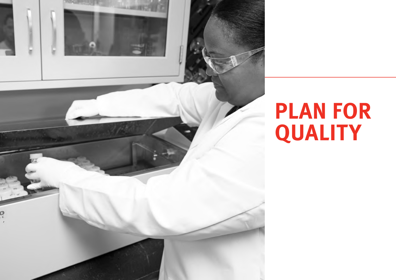

## **PLAN FOR QUALITY**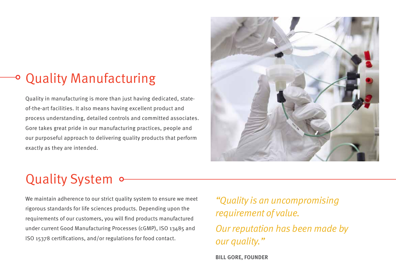### Quality Manufacturing

Quality in manufacturing is more than just having dedicated, stateof-the-art facilities. It also means having excellent product and process understanding, detailed controls and committed associates. Gore takes great pride in our manufacturing practices, people and our purposeful approach to delivering quality products that perform exactly as they are intended.



## Quality System of

We maintain adherence to our strict quality system to ensure we meet rigorous standards for life sciences products. Depending upon the requirements of our customers, you will find products manufactured under current Good Manufacturing Processes (cGMP), ISO 13485 and ISO 15378 certifications, and/or regulations for food contact.

"Quality is an uncompromising requirement of value. Our reputation has been made by our quality."

**BILL GORE, FOUNDER**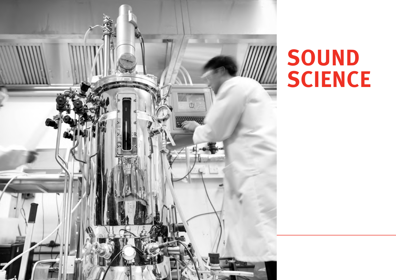

## **SOUND SCIENCE**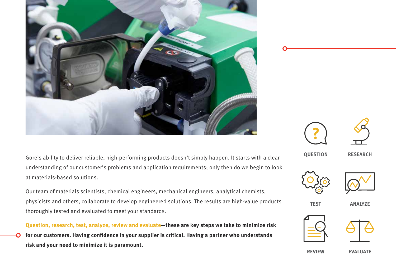

Gore's ability to deliver reliable, high-performing products doesn't simply happen. It starts with a clear understanding of our customer's problems and application requirements; only then do we begin to look at materials-based solutions.

Our team of materials scientists, chemical engineers, mechanical engineers, analytical chemists, physicists and others, collaborate to develop engineered solutions. The results are high-value products thoroughly tested and evaluated to meet your standards.







**QUESTION RESEARCH**





**TEST ANALYZE**







**REVIEW EVALUATE**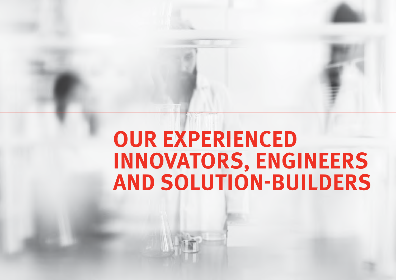## **OUR EXPERIENCED INNOVATORS, ENGINEERS AND SOLUTION-BUILDERS**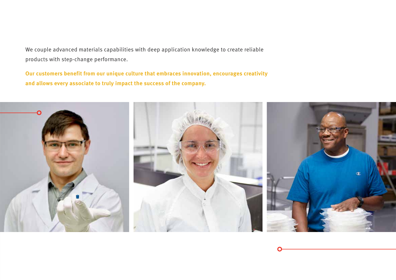We couple advanced materials capabilities with deep application knowledge to create reliable products with step-change performance.

**Our customers benefit from our unique culture that embraces innovation, encourages creativity and allows every associate to truly impact the success of the company.**